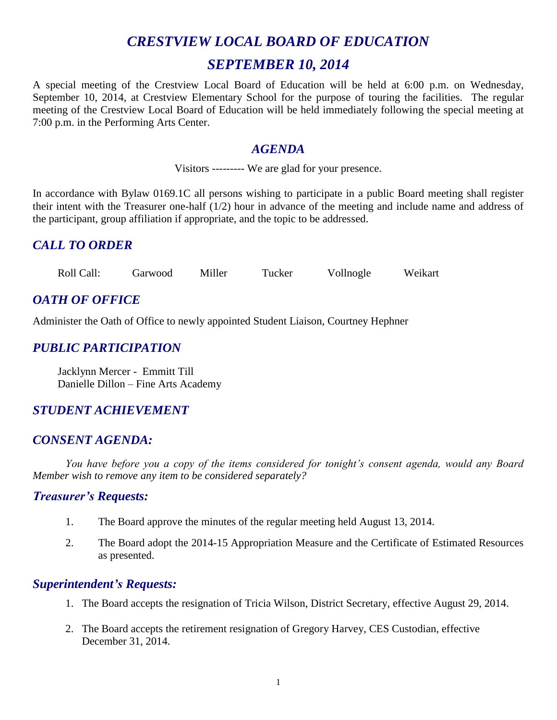# *CRESTVIEW LOCAL BOARD OF EDUCATION SEPTEMBER 10, 2014*

A special meeting of the Crestview Local Board of Education will be held at 6:00 p.m. on Wednesday, September 10, 2014, at Crestview Elementary School for the purpose of touring the facilities. The regular meeting of the Crestview Local Board of Education will be held immediately following the special meeting at 7:00 p.m. in the Performing Arts Center.

#### *AGENDA*

Visitors --------- We are glad for your presence.

In accordance with Bylaw 0169.1C all persons wishing to participate in a public Board meeting shall register their intent with the Treasurer one-half (1/2) hour in advance of the meeting and include name and address of the participant, group affiliation if appropriate, and the topic to be addressed.

# *CALL TO ORDER*

Roll Call: Garwood Miller Tucker Vollnogle Weikart

# *OATH OF OFFICE*

Administer the Oath of Office to newly appointed Student Liaison, Courtney Hephner

# *PUBLIC PARTICIPATION*

Jacklynn Mercer - Emmitt Till Danielle Dillon – Fine Arts Academy

# *STUDENT ACHIEVEMENT*

### *CONSENT AGENDA:*

*You have before you a copy of the items considered for tonight's consent agenda, would any Board Member wish to remove any item to be considered separately?*

### *Treasurer's Requests:*

- 1. The Board approve the minutes of the regular meeting held August 13, 2014.
- 2. The Board adopt the 2014-15 Appropriation Measure and the Certificate of Estimated Resources as presented.

### *Superintendent's Requests:*

- 1. The Board accepts the resignation of Tricia Wilson, District Secretary, effective August 29, 2014.
- 2. The Board accepts the retirement resignation of Gregory Harvey, CES Custodian, effective December 31, 2014.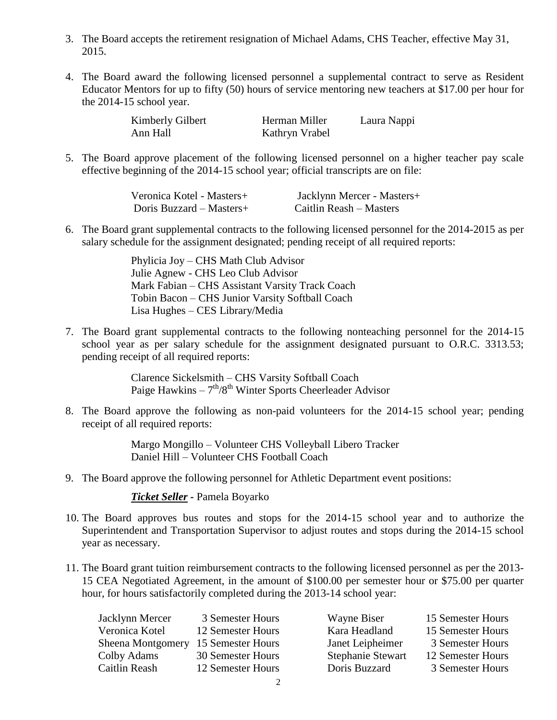- 3. The Board accepts the retirement resignation of Michael Adams, CHS Teacher, effective May 31, 2015.
- 4. The Board award the following licensed personnel a supplemental contract to serve as Resident Educator Mentors for up to fifty (50) hours of service mentoring new teachers at \$17.00 per hour for the 2014-15 school year.

| Kimberly Gilbert | Herman Miller  | Laura Nappi |
|------------------|----------------|-------------|
| Ann Hall         | Kathryn Vrabel |             |

5. The Board approve placement of the following licensed personnel on a higher teacher pay scale effective beginning of the 2014-15 school year; official transcripts are on file:

| Veronica Kotel - Masters+ | Jacklynn Mercer - Masters+ |
|---------------------------|----------------------------|
| Doris Buzzard – Masters+  | Caitlin Reash – Masters    |

6. The Board grant supplemental contracts to the following licensed personnel for the 2014-2015 as per salary schedule for the assignment designated; pending receipt of all required reports:

> Phylicia Joy – CHS Math Club Advisor Julie Agnew - CHS Leo Club Advisor Mark Fabian – CHS Assistant Varsity Track Coach Tobin Bacon – CHS Junior Varsity Softball Coach Lisa Hughes – CES Library/Media

7. The Board grant supplemental contracts to the following nonteaching personnel for the 2014-15 school year as per salary schedule for the assignment designated pursuant to O.R.C. 3313.53; pending receipt of all required reports:

> Clarence Sickelsmith – CHS Varsity Softball Coach Paige Hawkins  $-7<sup>th</sup>/8<sup>th</sup>$  Winter Sports Cheerleader Advisor

8. The Board approve the following as non-paid volunteers for the 2014-15 school year; pending receipt of all required reports:

> Margo Mongillo – Volunteer CHS Volleyball Libero Tracker Daniel Hill – Volunteer CHS Football Coach

9. The Board approve the following personnel for Athletic Department event positions:

*Ticket Seller -* Pamela Boyarko

- 10. The Board approves bus routes and stops for the 2014-15 school year and to authorize the Superintendent and Transportation Supervisor to adjust routes and stops during the 2014-15 school year as necessary.
- 11. The Board grant tuition reimbursement contracts to the following licensed personnel as per the 2013- 15 CEA Negotiated Agreement, in the amount of \$100.00 per semester hour or \$75.00 per quarter hour, for hours satisfactorily completed during the 2013-14 school year:

| Jacklynn Mercer                     | 3 Semester Hours  | Wayne Biser              | 15 Semester Hours |
|-------------------------------------|-------------------|--------------------------|-------------------|
| Veronica Kotel                      | 12 Semester Hours | Kara Headland            | 15 Semester Hours |
| Sheena Montgomery 15 Semester Hours |                   | Janet Leipheimer         | 3 Semester Hours  |
| Colby Adams                         | 30 Semester Hours | <b>Stephanie Stewart</b> | 12 Semester Hours |
| Caitlin Reash                       | 12 Semester Hours | Doris Buzzard            | 3 Semester Hours  |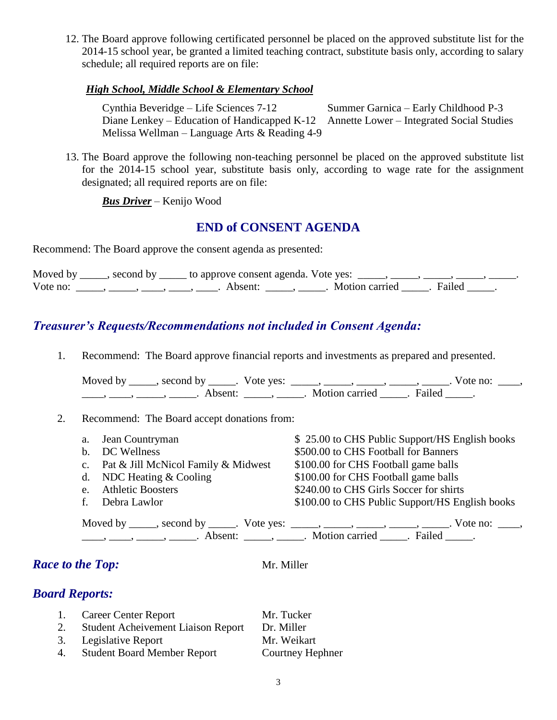12. The Board approve following certificated personnel be placed on the approved substitute list for the 2014-15 school year, be granted a limited teaching contract, substitute basis only, according to salary schedule; all required reports are on file:

#### *High School, Middle School & Elementary School*

Cynthia Beveridge – Life Sciences 7-12 Summer Garnica – Early Childhood P-3 Diane Lenkey – Education of Handicapped K-12 Annette Lower – Integrated Social Studies Melissa Wellman – Language Arts & Reading 4-9

13. The Board approve the following non-teaching personnel be placed on the approved substitute list for the 2014-15 school year, substitute basis only, according to wage rate for the assignment designated; all required reports are on file:

*Bus Driver* – Kenijo Wood

#### **END of CONSENT AGENDA**

Recommend: The Board approve the consent agenda as presented:

|          | Moved by _____, second by _____ to approve consent agenda. Vote yes: _____, _____, _____, _____, _ |                           |  |
|----------|----------------------------------------------------------------------------------------------------|---------------------------|--|
| Vote no: | . Absent:                                                                                          | . Motion carried . Failed |  |

## *Treasurer's Requests/Recommendations not included in Consent Agenda:*

1. Recommend: The Board approve financial reports and investments as prepared and presented.

Moved by \_\_\_\_\_, second by \_\_\_\_\_. Vote yes: \_\_\_\_\_, \_\_\_\_\_, \_\_\_\_\_, \_\_\_\_\_, \_\_\_\_\_. Vote no: \_\_\_\_, \_\_\_\_, \_\_\_\_\_, \_\_\_\_\_\_, Absent: \_\_\_\_\_, \_\_\_\_\_. Motion carried \_\_\_\_\_. Failed \_\_\_\_\_.

#### 2. Recommend: The Board accept donations from:

| a.             | Jean Countryman                            | \$25.00 to CHS Public Support/HS English books                                                 |
|----------------|--------------------------------------------|------------------------------------------------------------------------------------------------|
| $\mathbf{b}$ . | DC Wellness                                | \$500.00 to CHS Football for Banners                                                           |
|                | c. Pat $&$ Jill McNicol Family $&$ Midwest | \$100.00 for CHS Football game balls                                                           |
|                | d. NDC Heating $&$ Cooling                 | \$100.00 for CHS Football game balls                                                           |
| e.             | <b>Athletic Boosters</b>                   | \$240.00 to CHS Girls Soccer for shirts                                                        |
|                | Debra Lawlor                               | \$100.00 to CHS Public Support/HS English books                                                |
|                |                                            | Moved by ______, second by ______. Vote yes: _____, _____, _____, _____, _____. Vote no: ____, |
|                |                                            |                                                                                                |

### *Race to the Top:* Mr. Miller

### *Board Reports:*

|    | 1. Career Center Report                   | Mr. Tucker       |
|----|-------------------------------------------|------------------|
| 2. | <b>Student Acheivement Liaison Report</b> | Dr. Miller       |
|    | 3. Legislative Report                     | Mr. Weikart      |
|    | 4. Student Board Member Report            | Courtney Hephner |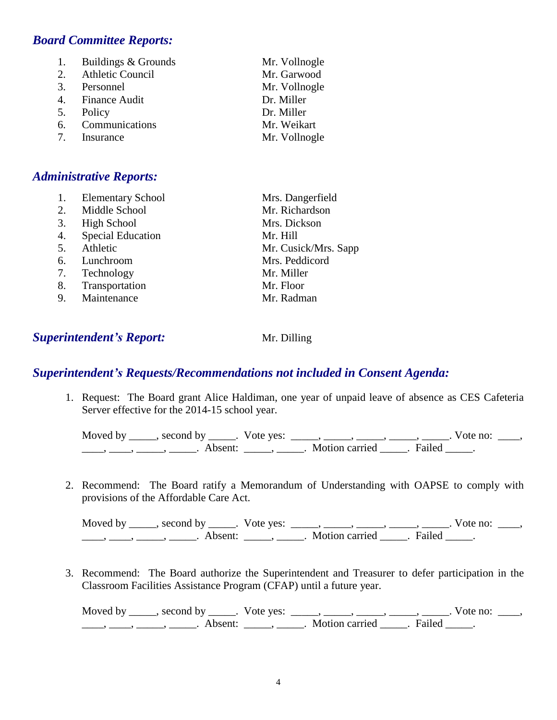#### *Board Committee Reports:*

| 1. | Buildings & Grounds | Mr. Vollnogle |
|----|---------------------|---------------|
|    | 2. Athletic Council | Mr. Garwood   |
|    | 3. Personnel        | Mr. Vollnogle |
|    | 4. Finance Audit    | Dr. Miller    |
|    | 5. Policy           | Dr. Miller    |
|    | 6. Communications   | Mr. Weikart   |
|    | 7. Insurance        | Mr. Vollnogle |

#### *Administrative Reports:*

|    | <b>Elementary School</b> | Mrs. Dangerfield     |
|----|--------------------------|----------------------|
| 2. | Middle School            | Mr. Richardson       |
| 3. | High School              | Mrs. Dickson         |
| 4. | <b>Special Education</b> | Mr. Hill             |
| 5. | Athletic                 | Mr. Cusick/Mrs. Sapp |
| 6. | Lunchroom                | Mrs. Peddicord       |
| 7. | Technology               | Mr. Miller           |
| 8. | Transportation           | Mr. Floor            |
| 9. | Maintenance              | Mr. Radman           |

#### **Superintendent's Report:** Mr. Dilling

#### *Superintendent's Requests/Recommendations not included in Consent Agenda:*

1. Request: The Board grant Alice Haldiman, one year of unpaid leave of absence as CES Cafeteria Server effective for the 2014-15 school year.

| Moved by second by | Vote yes: |                |        | Vote no: |  |
|--------------------|-----------|----------------|--------|----------|--|
| Ahsent:            |           | Motion carried | Failed |          |  |

2. Recommend: The Board ratify a Memorandum of Understanding with OAPSE to comply with provisions of the Affordable Care Act.

Moved by \_\_\_\_\_, second by \_\_\_\_\_. Vote yes: \_\_\_\_\_, \_\_\_\_\_, \_\_\_\_\_, \_\_\_\_\_, \_\_\_\_\_. Vote no: \_\_\_\_,  $\underbrace{\hspace{2cm}}$ ,  $\underbrace{\hspace{2cm}}$ ,  $\underbrace{\hspace{2cm}}$ . Absent:  $\underbrace{\hspace{2cm}}$ ,  $\underbrace{\hspace{2cm}}$ . Motion carried  $\underbrace{\hspace{2cm}}$ . Failed  $\underbrace{\hspace{2cm}}$ .

3. Recommend: The Board authorize the Superintendent and Treasurer to defer participation in the Classroom Facilities Assistance Program (CFAP) until a future year.

Moved by \_\_\_\_\_, second by \_\_\_\_\_. Vote yes: \_\_\_\_\_, \_\_\_\_\_, \_\_\_\_\_, \_\_\_\_\_, \_\_\_\_\_. Vote no: \_\_\_\_, \_\_\_\_, \_\_\_\_\_, \_\_\_\_\_\_\_. Absent: \_\_\_\_\_, \_\_\_\_\_. Motion carried \_\_\_\_\_. Failed \_\_\_\_\_.